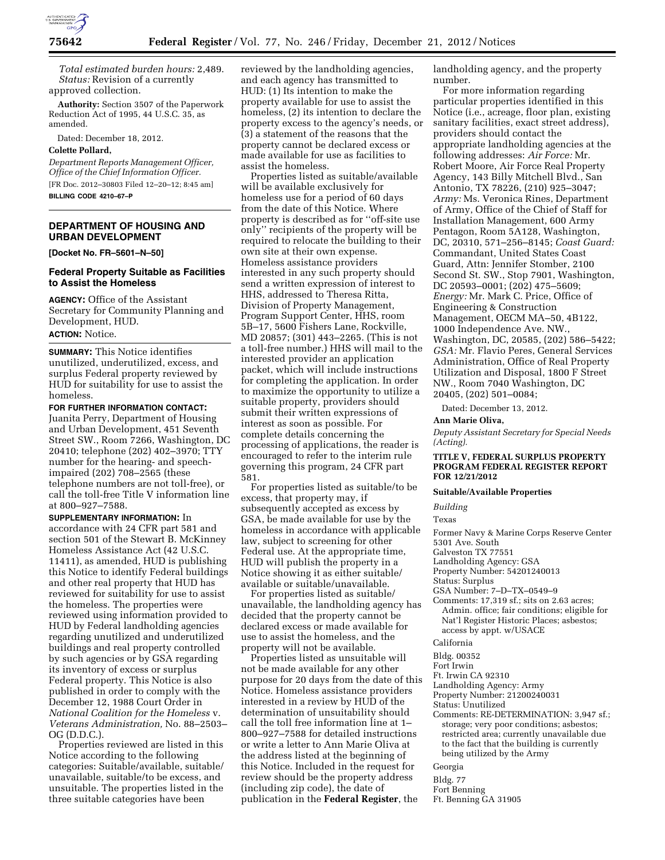

*Total estimated burden hours:* 2,489. *Status:* Revision of a currently approved collection.

**Authority:** Section 3507 of the Paperwork Reduction Act of 1995, 44 U.S.C. 35, as amended.

Dated: December 18, 2012.

## **Colette Pollard,**

*Department Reports Management Officer, Office of the Chief Information Officer.*  [FR Doc. 2012–30803 Filed 12–20–12; 8:45 am] **BILLING CODE 4210–67–P** 

**DEPARTMENT OF HOUSING AND URBAN DEVELOPMENT** 

**[Docket No. FR–5601–N–50]** 

# **Federal Property Suitable as Facilities to Assist the Homeless**

**AGENCY:** Office of the Assistant Secretary for Community Planning and Development, HUD.

**ACTION:** Notice.

**SUMMARY:** This Notice identifies unutilized, underutilized, excess, and surplus Federal property reviewed by HUD for suitability for use to assist the homeless.

### **FOR FURTHER INFORMATION CONTACT:**

Juanita Perry, Department of Housing and Urban Development, 451 Seventh Street SW., Room 7266, Washington, DC 20410; telephone (202) 402–3970; TTY number for the hearing- and speechimpaired (202) 708–2565 (these telephone numbers are not toll-free), or call the toll-free Title V information line at 800–927–7588.

**SUPPLEMENTARY INFORMATION:** In accordance with 24 CFR part 581 and section 501 of the Stewart B. McKinney Homeless Assistance Act (42 U.S.C. 11411), as amended, HUD is publishing this Notice to identify Federal buildings and other real property that HUD has reviewed for suitability for use to assist the homeless. The properties were reviewed using information provided to HUD by Federal landholding agencies regarding unutilized and underutilized buildings and real property controlled by such agencies or by GSA regarding its inventory of excess or surplus Federal property. This Notice is also published in order to comply with the December 12, 1988 Court Order in *National Coalition for the Homeless* v. *Veterans Administration,* No. 88–2503– OG (D.D.C.).

Properties reviewed are listed in this Notice according to the following categories: Suitable/available, suitable/ unavailable, suitable/to be excess, and unsuitable. The properties listed in the three suitable categories have been

reviewed by the landholding agencies, and each agency has transmitted to HUD: (1) Its intention to make the property available for use to assist the homeless, (2) its intention to declare the property excess to the agency's needs, or (3) a statement of the reasons that the property cannot be declared excess or made available for use as facilities to assist the homeless.

Properties listed as suitable/available will be available exclusively for homeless use for a period of 60 days from the date of this Notice. Where property is described as for ''off-site use only'' recipients of the property will be required to relocate the building to their own site at their own expense. Homeless assistance providers interested in any such property should send a written expression of interest to HHS, addressed to Theresa Ritta, Division of Property Management, Program Support Center, HHS, room 5B–17, 5600 Fishers Lane, Rockville, MD 20857; (301) 443–2265. (This is not a toll-free number.) HHS will mail to the interested provider an application packet, which will include instructions for completing the application. In order to maximize the opportunity to utilize a suitable property, providers should submit their written expressions of interest as soon as possible. For complete details concerning the processing of applications, the reader is encouraged to refer to the interim rule governing this program, 24 CFR part 581.

For properties listed as suitable/to be excess, that property may, if subsequently accepted as excess by GSA, be made available for use by the homeless in accordance with applicable law, subject to screening for other Federal use. At the appropriate time, HUD will publish the property in a Notice showing it as either suitable/ available or suitable/unavailable.

For properties listed as suitable/ unavailable, the landholding agency has decided that the property cannot be declared excess or made available for use to assist the homeless, and the property will not be available.

Properties listed as unsuitable will not be made available for any other purpose for 20 days from the date of this Notice. Homeless assistance providers interested in a review by HUD of the determination of unsuitability should call the toll free information line at 1-800–927–7588 for detailed instructions or write a letter to Ann Marie Oliva at the address listed at the beginning of this Notice. Included in the request for review should be the property address (including zip code), the date of publication in the **Federal Register**, the

landholding agency, and the property number.

For more information regarding particular properties identified in this Notice (i.e., acreage, floor plan, existing sanitary facilities, exact street address), providers should contact the appropriate landholding agencies at the following addresses: *Air Force:* Mr. Robert Moore, Air Force Real Property Agency, 143 Billy Mitchell Blvd., San Antonio, TX 78226, (210) 925–3047; *Army:* Ms. Veronica Rines, Department of Army, Office of the Chief of Staff for Installation Management, 600 Army Pentagon, Room 5A128, Washington, DC, 20310, 571–256–8145; *Coast Guard:*  Commandant, United States Coast Guard, Attn: Jennifer Stomber, 2100 Second St. SW., Stop 7901, Washington, DC 20593–0001; (202) 475–5609; *Energy:* Mr. Mark C. Price, Office of Engineering & Construction Management, OECM MA–50, 4B122, 1000 Independence Ave. NW., Washington, DC, 20585, (202) 586–5422; *GSA:* Mr. Flavio Peres, General Services Administration, Office of Real Property Utilization and Disposal, 1800 F Street NW., Room 7040 Washington, DC 20405, (202) 501–0084;

Dated: December 13, 2012.

#### **Ann Marie Oliva,**

*Deputy Assistant Secretary for Special Needs (Acting).* 

## **TITLE V, FEDERAL SURPLUS PROPERTY PROGRAM FEDERAL REGISTER REPORT FOR 12/21/2012**

#### **Suitable/Available Properties**

*Building* 

Texas

Former Navy & Marine Corps Reserve Center 5301 Ave. South

Galveston TX 77551

Landholding Agency: GSA Property Number: 54201240013

Status: Surplus

GSA Number: 7–D–TX–0549–9

Comments: 17,319 sf.; sits on 2.63 acres; Admin. office; fair conditions; eligible for Nat'l Register Historic Places; asbestos; access by appt. w/USACE

#### California

Bldg. 00352

Fort Irwin

- Ft. Irwin CA 92310
- Landholding Agency: Army

Property Number: 21200240031

- Status: Unutilized
- Comments: RE-DETERMINATION: 3,947 sf.; storage; very poor conditions; asbestos; restricted area; currently unavailable due to the fact that the building is currently being utilized by the Army

#### Georgia

Bldg. 77

Fort Benning

Ft. Benning GA 31905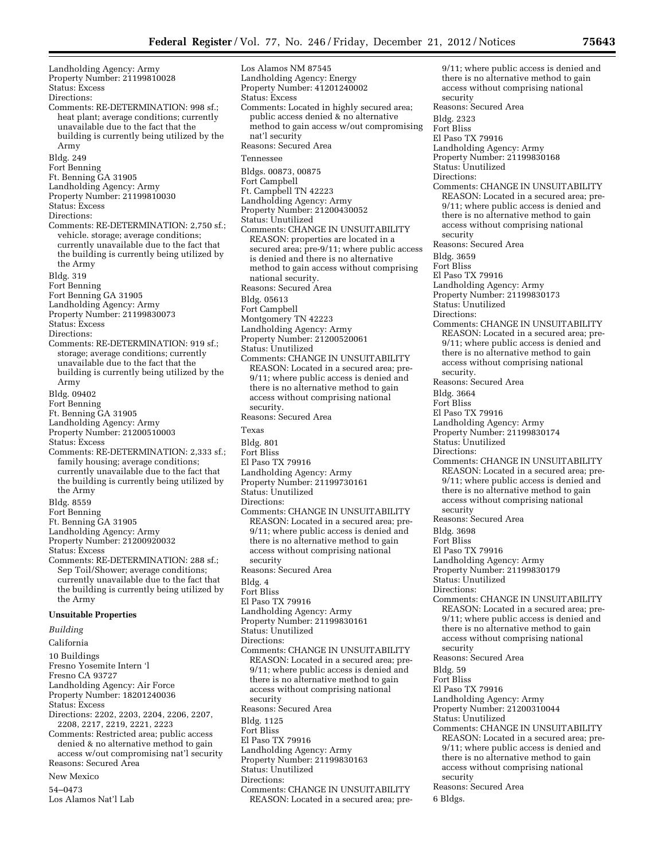Landholding Agency: Army Property Number: 21199810028 Status: Excess Directions: Comments: RE-DETERMINATION: 998 sf.; heat plant; average conditions; currently unavailable due to the fact that the building is currently being utilized by the Army Bldg. 249 Fort Benning Ft. Benning GA 31905 Landholding Agency: Army Property Number: 21199810030 Status: Excess Directions: Comments: RE-DETERMINATION: 2,750 sf.; vehicle. storage; average conditions; currently unavailable due to the fact that the building is currently being utilized by the Army Bldg. 319 Fort Benning Fort Benning GA 31905 Landholding Agency: Army Property Number: 21199830073 Status: Excess Directions: Comments: RE-DETERMINATION: 919 sf.; storage; average conditions; currently unavailable due to the fact that the building is currently being utilized by the Army Bldg. 09402 Fort Benning Ft. Benning GA 31905 Landholding Agency: Army Property Number: 21200510003 Status: Excess Comments: RE-DETERMINATION: 2,333 sf.; family housing; average conditions; currently unavailable due to the fact that the building is currently being utilized by the Army Bldg. 8559 Fort Benning Ft. Benning GA 31905 Landholding Agency: Army Property Number: 21200920032 Status: Excess Comments: RE-DETERMINATION: 288 sf.; Sep Toil/Shower; average conditions; currently unavailable due to the fact that the building is currently being utilized by the Army **Unsuitable Properties**  *Building*  California 10 Buildings Fresno Yosemite Intern 'l Fresno CA 93727 Landholding Agency: Air Force Property Number: 18201240036 Status: Excess Directions: 2202, 2203, 2204, 2206, 2207, 2208, 2217, 2219, 2221, 2223 Comments: Restricted area; public access denied & no alternative method to gain access w/out compromising nat'l security Reasons: Secured Area New Mexico

54–0473

Los Alamos Nat'l Lab

Los Alamos NM 87545 Landholding Agency: Energy Property Number: 41201240002 Status: Excess Comments: Located in highly secured area; public access denied & no alternative method to gain access w/out compromising nat'l security Reasons: Secured Area Tennessee Bldgs. 00873, 00875 Fort Campbell Ft. Campbell TN 42223 Landholding Agency: Army Property Number: 21200430052 Status: Unutilized Comments: CHANGE IN UNSUITABILITY REASON: properties are located in a secured area; pre-9/11; where public access is denied and there is no alternative method to gain access without comprising national security. Reasons: Secured Area Bldg. 05613 Fort Campbell Montgomery TN 42223 Landholding Agency: Army Property Number: 21200520061 Status: Unutilized Comments: CHANGE IN UNSUITABILITY REASON: Located in a secured area; pre-9/11; where public access is denied and there is no alternative method to gain access without comprising national security. Reasons: Secured Area Texas Bldg. 801 Fort Bliss El Paso TX 79916 Landholding Agency: Army Property Number: 21199730161 Status: Unutilized Directions: Comments: CHANGE IN UNSUITABILITY REASON: Located in a secured area; pre-9/11; where public access is denied and there is no alternative method to gain access without comprising national security Reasons: Secured Area Bldg. 4 Fort Bliss El Paso TX 79916 Landholding Agency: Army Property Number: 21199830161 Status: Unutilized Directions: Comments: CHANGE IN UNSUITABILITY REASON: Located in a secured area; pre-9/11; where public access is denied and there is no alternative method to gain access without comprising national security Reasons: Secured Area Bldg. 1125 Fort Bliss El Paso TX 79916 Landholding Agency: Army Property Number: 21199830163 Status: Unutilized Directions: Comments: CHANGE IN UNSUITABILITY REASON: Located in a secured area; pre-

9/11; where public access is denied and there is no alternative method to gain access without comprising national security Reasons: Secured Area Bldg. 2323 Fort Bliss El Paso TX 79916 Landholding Agency: Army Property Number: 21199830168 Status: Unutilized Directions: Comments: CHANGE IN UNSUITABILITY REASON: Located in a secured area; pre-9/11; where public access is denied and there is no alternative method to gain access without comprising national security Reasons: Secured Area Bldg. 3659 Fort Bliss El Paso TX 79916 Landholding Agency: Army Property Number: 21199830173 Status: Unutilized Directions: Comments: CHANGE IN UNSUITABILITY REASON: Located in a secured area; pre-9/11; where public access is denied and there is no alternative method to gain access without comprising national security. Reasons: Secured Area Bldg. 3664 Fort Bliss El Paso TX 79916 Landholding Agency: Army Property Number: 21199830174 Status: Unutilized Directions: Comments: CHANGE IN UNSUITABILITY REASON: Located in a secured area; pre-9/11; where public access is denied and there is no alternative method to gain access without comprising national security Reasons: Secured Area Bldg. 3698 Fort Bliss El Paso TX 79916 Landholding Agency: Army Property Number: 21199830179 Status: Unutilized Directions: Comments: CHANGE IN UNSUITABILITY REASON: Located in a secured area; pre-9/11; where public access is denied and there is no alternative method to gain access without comprising national security Reasons: Secured Area Bldg. 59 Fort Bliss El Paso TX 79916 Landholding Agency: Army Property Number: 21200310044 Status: Unutilized Comments: CHANGE IN UNSUITABILITY REASON: Located in a secured area; pre-9/11; where public access is denied and there is no alternative method to gain access without comprising national security Reasons: Secured Area 6 Bldgs.